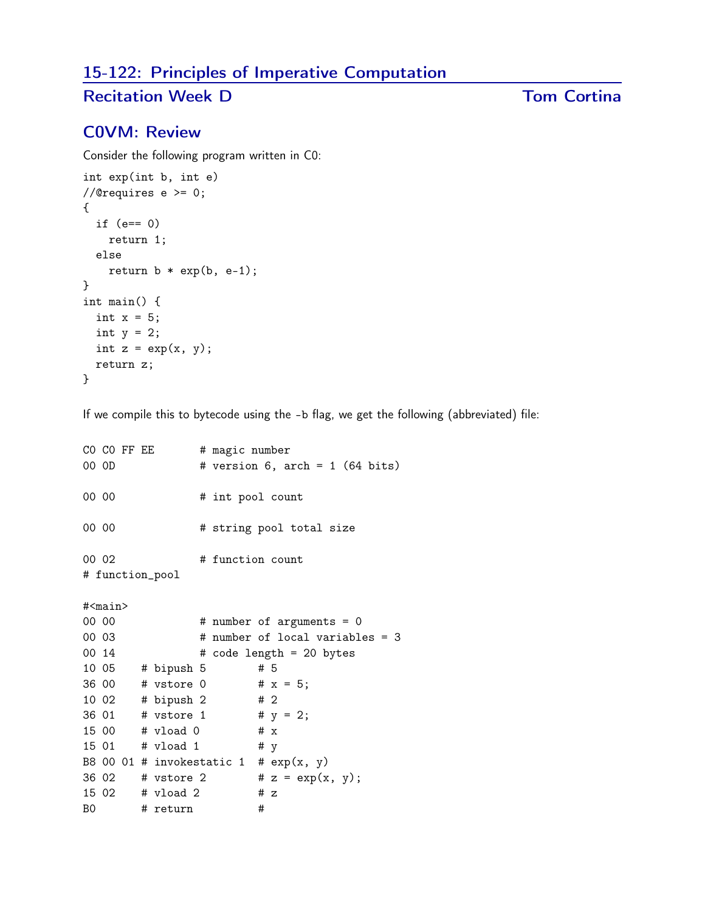# 15-122: Principles of Imperative Computation

## Recitation Week D Tom Cortina

## C0VM: Review

Consider the following program written in C0:

```
int exp(int b, int e)
//@requires e >= 0;
{
  if (e== 0)
    return 1;
 else
    return b * exp(b, e-1);}
int main() {
 int x = 5;
 int y = 2;
 int z = exp(x, y);
 return z;
}
```
If we compile this to bytecode using the -b flag, we get the following (abbreviated) file:

```
CO CO FF EE # magic number
00 0D    # version 6, arch = 1 (64 bits)
00 00 # int pool count
00 00 # string pool total size
00 02 # function count
# function_pool
#<main>
00 00 # number of arguments = 0
00 03 # number of local variables = 3
00 \t14 # code length = 20 bytes
10 05 # bipush 5 # 5
36 00 # vstore 0 # x = 5;
10 02 # bipush 2 # 2
36 01 # vstore 1 # y = 2;
15 00 # vload 0 # x
15 01 # vload 1 # y
B8 00 01 # invokestatic 1 # exp(x, y)36 02 # vstore 2 # z = exp(x, y);
15 02 # vload 2 # z
B0 # return #
```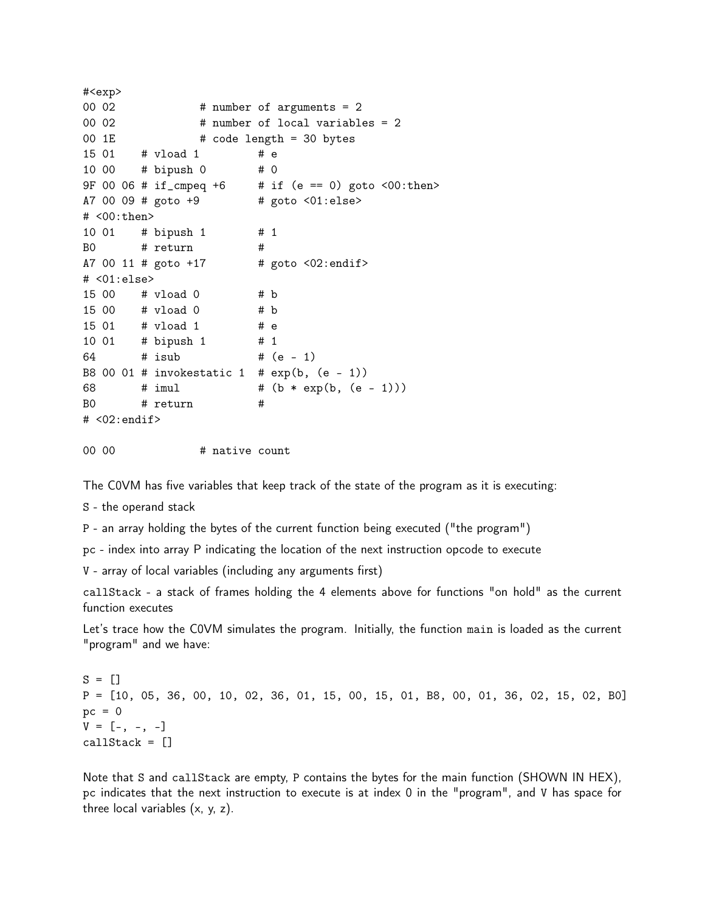```
#<exp>
00 02 # number of arguments = 2
00 02 # number of local variables = 2
00 1E \# code length = 30 bytes
15 01 # vload 1 # e
10 00 # bipush 0 # 0
9F 00 06 # if_cmpeq +6 \# if (e == 0) goto <00:then>
A7 00 09 # goto +9 # goto <01:else>
# <00:then>
10 01 # bipush 1 # 1
B0 # return #
A7 00 11 # goto +17 # goto <02:endif># <01:else>
15 00 # vload 0 # b
15 00 # vload 0 # b
15 01 # vload 1 # e
10 01 # bipush 1 # 1
64 # isub # (e - 1)
B8 00 01 # invokestatic 1 # exp(b, (e - 1))68 # imul # (b * exp(b, (e - 1)))B0 # return #
# <02:endif>
```
00 00  $\#$  native count

The C0VM has five variables that keep track of the state of the program as it is executing:

S - the operand stack

P - an array holding the bytes of the current function being executed ("the program")

pc - index into array P indicating the location of the next instruction opcode to execute

V - array of local variables (including any arguments first)

callStack - a stack of frames holding the 4 elements above for functions "on hold" as the current function executes

Let's trace how the C0VM simulates the program. Initially, the function main is loaded as the current "program" and we have:

 $S = \square$ P = [10, 05, 36, 00, 10, 02, 36, 01, 15, 00, 15, 01, B8, 00, 01, 36, 02, 15, 02, B0]  $pc = 0$  $V = [-, -, -]$ callStack = []

Note that S and callStack are empty, P contains the bytes for the main function (SHOWN IN HEX), pc indicates that the next instruction to execute is at index 0 in the "program", and V has space for three local variables (x, y, z).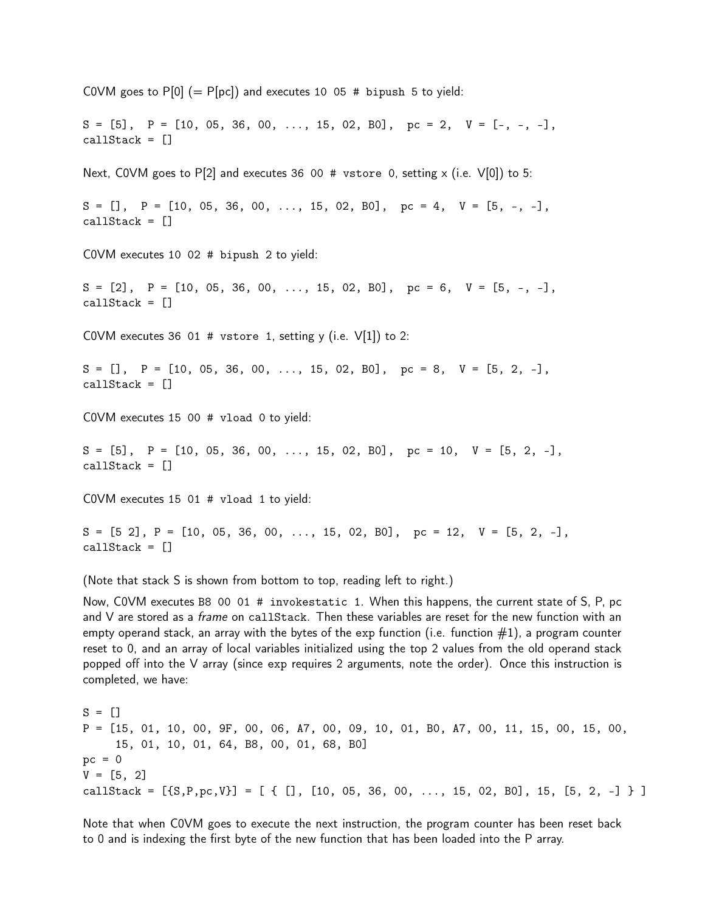COVM goes to  $P[0] (= P[pc])$  and executes 10 05 # bipush 5 to yield:  $S = [5], P = [10, 05, 36, 00, \ldots, 15, 02, B0], pc = 2, V = [-, -, -],$ callStack = [] Next, COVM goes to P[2] and executes 36 00 # vstore 0, setting x (i.e.  $V[0]$ ) to 5:  $S = []$ ,  $P = [10, 05, 36, 00, \ldots, 15, 02, B0]$ ,  $pc = 4$ ,  $V = [5, -, -]$ , callStack = [] C0VM executes 10 02 # bipush 2 to yield:  $S = [2], P = [10, 05, 36, 00, \ldots, 15, 02, B0], pc = 6, V = [5, -, -],$ callStack = [] COVM executes 36 01 # vstore 1, setting y (i.e.  $V[1]$ ) to 2:  $S = []$ ,  $P = [10, 05, 36, 00, \ldots, 15, 02, B0]$ ,  $pc = 8$ ,  $V = [5, 2, -]$ , callStack = [] C0VM executes 15 00 # vload 0 to yield:  $S = [5], P = [10, 05, 36, 00, \ldots, 15, 02, B0], pc = 10, V = [5, 2, -],$ callStack = [] C0VM executes 15 01 # vload 1 to yield:  $S = [5 \ 2], P = [10, 05, 36, 00, \ldots, 15, 02, B0], pc = 12, V = [5, 2, -],$  $calI$ Stack =  $[]$ (Note that stack S is shown from bottom to top, reading left to right.)

Now, C0VM executes B8 00 01 # invokestatic 1. When this happens, the current state of S, P, pc and V are stored as a *frame* on callStack. Then these variables are reset for the new function with an empty operand stack, an array with the bytes of the exp function (i.e. function  $\#1$ ), a program counter reset to 0, and an array of local variables initialized using the top 2 values from the old operand stack popped off into the V array (since exp requires 2 arguments, note the order). Once this instruction is completed, we have:

 $S = []$ P = [15, 01, 10, 00, 9F, 00, 06, A7, 00, 09, 10, 01, B0, A7, 00, 11, 15, 00, 15, 00, 15, 01, 10, 01, 64, B8, 00, 01, 68, B0]  $pc = 0$  $V = [5, 2]$ callStack =  $[{S, P, pc, V}] = [ { [ ] , [ 10, 05, 36, 00, ..., 15, 02, B0] , 15, [5, 2, -] } ]$ 

Note that when C0VM goes to execute the next instruction, the program counter has been reset back to 0 and is indexing the first byte of the new function that has been loaded into the P array.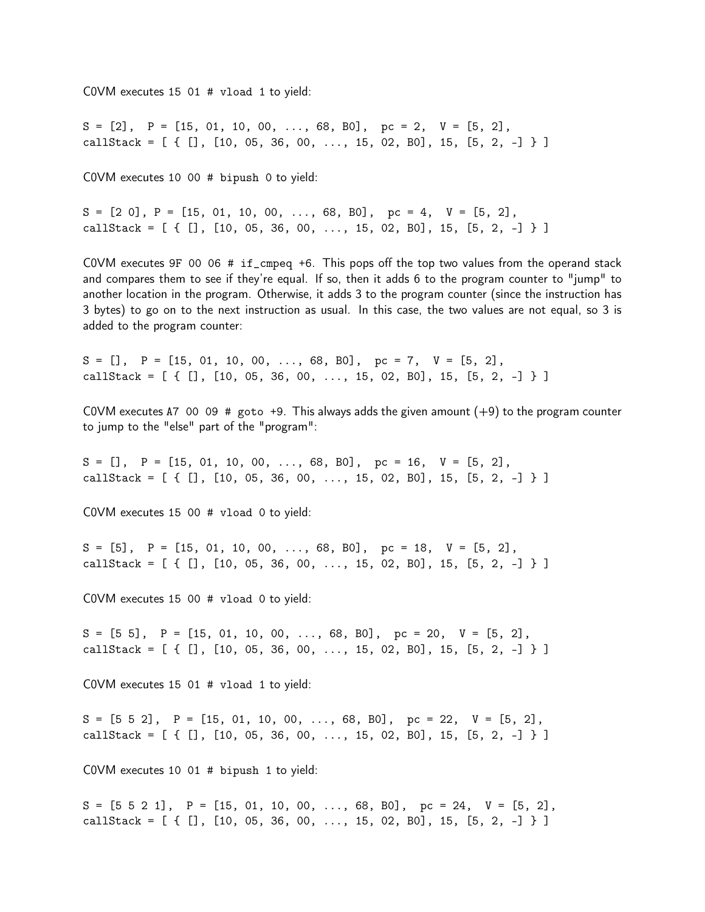C0VM executes 15 01 # vload 1 to yield:

 $S = [2], P = [15, 01, 10, 00, ..., 68, B0], pc = 2, V = [5, 2],$ callStack =  $[ \{ [ ] , [ 10, 05, 36, 00, ..., 15, 02, B0], 15, [5, 2, -] \} ]$ 

C0VM executes 10 00 # bipush 0 to yield:

 $S = [2 \ 0], P = [15, 01, 10, 00, ..., 68, B0], pc = 4, V = [5, 2],$ callStack =  $[$  {  $[]$ ,  $[10, 05, 36, 00, ..., 15, 02, 80]$ , 15,  $[5, 2, -]$  } ]

C0VM executes 9F 00 06 # if\_cmpeq +6. This pops off the top two values from the operand stack and compares them to see if they're equal. If so, then it adds 6 to the program counter to "jump" to another location in the program. Otherwise, it adds 3 to the program counter (since the instruction has 3 bytes) to go on to the next instruction as usual. In this case, the two values are not equal, so 3 is added to the program counter:

 $S = []$ ,  $P = [15, 01, 10, 00, ..., 68, B0]$ ,  $pc = 7$ ,  $V = [5, 2]$ , callStack =  $[ \{ [ ] , [ 10, 05, 36, 00, ..., 15, 02, B0], 15, [5, 2, -] \} ]$ 

COVM executes A7 00 09  $#$  goto +9. This always adds the given amount  $(+9)$  to the program counter to jump to the "else" part of the "program":

 $S = []$ ,  $P = [15, 01, 10, 00, ..., 68, B0],$   $pc = 16$ ,  $V = [5, 2]$ , callStack =  $[ \{ [ ] , [ 10, 05, 36, 00, ..., 15, 02, B0], 15, [5, 2, -] \} ]$ 

C0VM executes 15 00 # vload 0 to yield:

 $S = [5], P = [15, 01, 10, 00, \ldots, 68, B0], pc = 18, V = [5, 2],$ callStack =  $[ [ [ ] , [ 10 , 05 , 36 , 00 , ..., 15 , 02 , B0 ], 15 , [5 , 2 , -] ] ]$ 

C0VM executes 15 00 # vload 0 to yield:

 $S = [5 5], P = [15, 01, 10, 00, \ldots, 68, B0], pc = 20, V = [5, 2],$ callStack =  $[ \{ [ ] , [ 10, 05, 36, 00, ..., 15, 02, B0], 15, [5, 2, -] \} ]$ 

C0VM executes 15 01 # vload 1 to yield:

 $S = [5 \ 5 \ 2], \quad P = [15, 01, 10, 00, \ldots, 68, B0], \quad pc = 22, \quad V = [5, 2],$ callStack =  $[ \{ [ ] , [ 10, 05, 36, 00, ..., 15, 02, B0], 15, [5, 2, -] \} ]$ 

C0VM executes 10 01 # bipush 1 to yield:

 $S = [5 \ 5 \ 2 \ 1], \quad P = [15, 01, 10, 00, \ldots, 68, B0], \quad pc = 24, \quad V = [5, 2],$ callStack =  $[ \{ [ ] , [ 10, 05, 36, 00, ..., 15, 02, B0], 15, [5, 2, -] \} ]$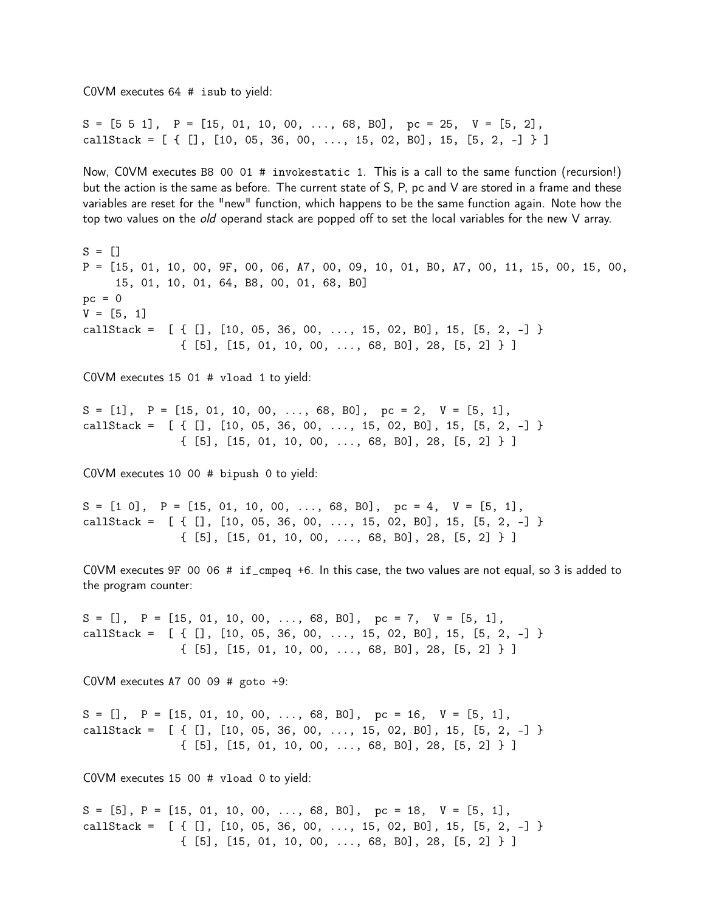C0VM executes 64 # isub to yield:

 $S = [5 \ 5 \ 1], \quad P = [15, 01, 10, 00, \ldots, 68, B0], \quad pc = 25, \quad V = [5, 2],$ callStack =  $[ [ ] , [ 10 , 05 , 36 , 00 , ..., 15 , 02 , B0 ], 15 , [5 , 2 , -] ] ]$ 

Now, C0VM executes B8 00 01 # invokestatic 1. This is a call to the same function (recursion!) but the action is the same as before. The current state of S, P, pc and V are stored in a frame and these variables are reset for the "new" function, which happens to be the same function again. Note how the top two values on the *old* operand stack are popped off to set the local variables for the new V array.

 $S = []$ P = [15, 01, 10, 00, 9F, 00, 06, A7, 00, 09, 10, 01, B0, A7, 00, 11, 15, 00, 15, 00, 15, 01, 10, 01, 64, B8, 00, 01, 68, B0]  $pc = 0$  $V = [5, 1]$ callStack =  $[ { [ ] , [ 10, 05, 36, 00, ..., 15, 02, B0] , 15, [5, 2, -] }$ { [5], [15, 01, 10, 00, ..., 68, B0], 28, [5, 2] } ] C0VM executes 15 01 # vload 1 to yield:  $S = [1], P = [15, 01, 10, 00, \ldots, 68, B0], pc = 2, V = [5, 1],$ callStack =  $[ { [ ] , [ 10, 05, 36, 00, ..., 15, 02, B0] , 15, [5, 2, -] }$ { [5], [15, 01, 10, 00, ..., 68, B0], 28, [5, 2] } ] C0VM executes 10 00 # bipush 0 to yield:  $S = [1 \ 0], \quad P = [15, 01, 10, 00, \ldots, 68, B0], \quad pc = 4, \quad V = [5, 1],$ callStack =  $[ { [ ] , [ 10, 05, 36, 00, ..., 15, 02, B0] , 15, [5, 2, -] }$ { [5], [15, 01, 10, 00, ..., 68, B0], 28, [5, 2] } ] C0VM executes 9F 00 06 # if\_cmpeq +6. In this case, the two values are not equal, so 3 is added to the program counter:  $S = []$ ,  $P = [15, 01, 10, 00, \ldots, 68, B0],$   $pc = 7$ ,  $V = [5, 1],$ callStack =  $[ { [ ] , [ 10, 05, 36, 00, ..., 15, 02, B0] , 15, [5, 2, -] }$ { [5], [15, 01, 10, 00, ..., 68, B0], 28, [5, 2] } ] COVM executes A7 00 09  $#$  goto  $+9$ :  $S = []$ ,  $P = [15, 01, 10, 00, ..., 68, B0],$   $pc = 16$ ,  $V = [5, 1],$ callStack =  $[ { [ ] , [ 10, 05, 36, 00, ..., 15, 02, B0] , 15, [5, 2, -] }$ { [5], [15, 01, 10, 00, ..., 68, B0], 28, [5, 2] } ] C0VM executes 15 00 # vload 0 to yield:

 $S = [5]$ ,  $P = [15, 01, 10, 00, \ldots, 68, B0]$ ,  $pc = 18$ ,  $V = [5, 1]$ , callStack =  $[ { [ ] , [ 10, 05, 36, 00, ..., 15, 02, B0] , 15, [5, 2, -] }$ { [5], [15, 01, 10, 00, ..., 68, B0], 28, [5, 2] } ]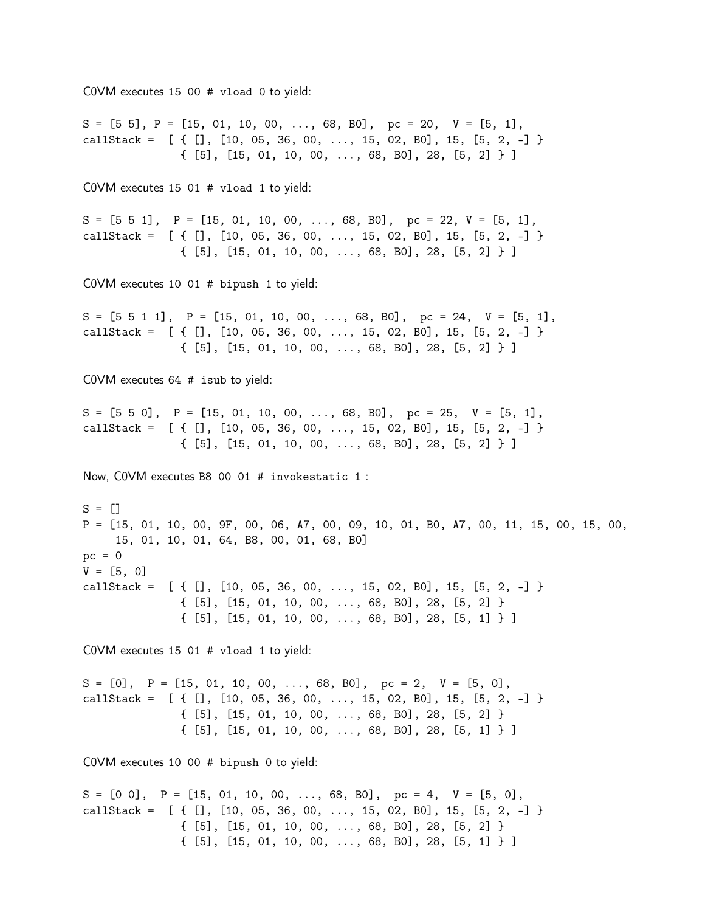C0VM executes 15 00 # vload 0 to yield:  $S = [5 5], P = [15, 01, 10, 00, \ldots, 68, B0], pc = 20, V = [5, 1],$ callStack =  $[ { [ ] , [ 10, 05, 36, 00, ..., 15, 02, B0], 15, [5, 2, -] }$ { [5], [15, 01, 10, 00, ..., 68, B0], 28, [5, 2] } ] C0VM executes 15 01 # vload 1 to yield:  $S = [5 \ 5 \ 1], \quad P = [15, 01, 10, 00, \ldots, 68, B0], \quad pc = 22, \ V = [5, 1],$ callStack =  $[ { [ ] , [ 10, 05, 36, 00, ..., 15, 02, B0] , 15, [5, 2, -] }$ { [5], [15, 01, 10, 00, ..., 68, B0], 28, [5, 2] } ] C0VM executes 10 01 # bipush 1 to yield:  $S = [5 5 1 1], P = [15, 01, 10, 00, ..., 68, B0], pc = 24, V = [5, 1],$ callStack =  $[ { [ ] , [ 10, 05, 36, 00, ..., 15, 02, B0] , 15, [5, 2, -] }$ { [5], [15, 01, 10, 00, ..., 68, B0], 28, [5, 2] } ] C0VM executes 64 # isub to yield:  $S = [5 \ 5 \ 0], \quad P = [15, 01, 10, 00, \ldots, 68, B0], \quad pc = 25, \quad V = [5, 1],$ callStack =  $[ { [ ] , [ 10, 05, 36, 00, ..., 15, 02, B0] , 15, [5, 2, -] }$ { [5], [15, 01, 10, 00, ..., 68, B0], 28, [5, 2] } ] Now, C0VM executes B8 00 01 # invokestatic 1 :  $S = []$ P = [15, 01, 10, 00, 9F, 00, 06, A7, 00, 09, 10, 01, B0, A7, 00, 11, 15, 00, 15, 00, 15, 01, 10, 01, 64, B8, 00, 01, 68, B0]  $pc = 0$  $V = [5, 0]$ callStack =  $[ { [ ] , [ 10, 05, 36, 00, ..., 15, 02, B0] , 15, [5, 2, -] }$ { [5], [15, 01, 10, 00, ..., 68, B0], 28, [5, 2] } { [5], [15, 01, 10, 00, ..., 68, B0], 28, [5, 1] } ] C0VM executes 15 01 # vload 1 to yield:  $S = [0], P = [15, 01, 10, 00, \ldots, 68, B0], pc = 2, V = [5, 0],$ callStack =  $[ { [ ] , [ 10, 05, 36, 00, ..., 15, 02, B0] , 15, [5, 2, -] }$ { [5], [15, 01, 10, 00, ..., 68, B0], 28, [5, 2] } { [5], [15, 01, 10, 00, ..., 68, B0], 28, [5, 1] } ] C0VM executes 10 00 # bipush 0 to yield:  $S = [0 \ 0], \quad P = [15, 01, 10, 00, \ldots, 68, B0], \quad pc = 4, \quad V = [5, 0],$ callStack =  $[ { [ ] , [ 10, 05, 36, 00, ..., 15, 02, B0], 15, [5, 2, -] }$ { [5], [15, 01, 10, 00, ..., 68, B0], 28, [5, 2] } { [5], [15, 01, 10, 00, ..., 68, B0], 28, [5, 1] } ]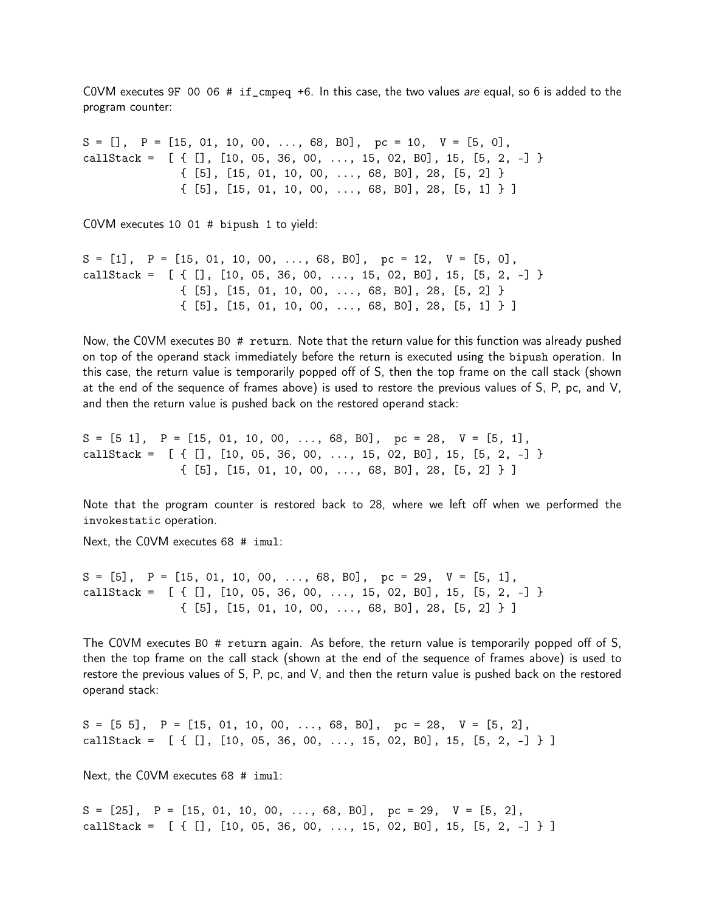COVM executes 9F 00 06  $#$  if\_cmpeq +6. In this case, the two values are equal, so 6 is added to the program counter:

 $S = []$ ,  $P = [15, 01, 10, 00, ..., 68, B0],$   $pc = 10$ ,  $V = [5, 0],$ callStack =  $[ { [ ] , [ 10, 05, 36, 00, ..., 15, 02, B0] , 15, [5, 2, -] }$ { [5], [15, 01, 10, 00, ..., 68, B0], 28, [5, 2] } { [5], [15, 01, 10, 00, ..., 68, B0], 28, [5, 1] } ]

C0VM executes 10 01 # bipush 1 to yield:

 $S = [1], P = [15, 01, 10, 00, \ldots, 68, B0], pc = 12, V = [5, 0],$ callStack =  $[ { [ ] , [ 10, 05, 36, 00, ..., 15, 02, B0] , 15, [5, 2, -] }$ { [5], [15, 01, 10, 00, ..., 68, B0], 28, [5, 2] } { [5], [15, 01, 10, 00, ..., 68, B0], 28, [5, 1] } ]

Now, the C0VM executes B0 # return. Note that the return value for this function was already pushed on top of the operand stack immediately before the return is executed using the bipush operation. In this case, the return value is temporarily popped off of S, then the top frame on the call stack (shown at the end of the sequence of frames above) is used to restore the previous values of S, P, pc, and V, and then the return value is pushed back on the restored operand stack:

 $S = [5 \ 1], \quad P = [15, 01, 10, 00, \ldots, 68, B0], \quad pc = 28, \quad V = [5, 1],$ callStack =  $[ { [ ] , [ 10, 05, 36, 00, ..., 15, 02, B0], 15, [5, 2, -] }$ { [5], [15, 01, 10, 00, ..., 68, B0], 28, [5, 2] } ]

Note that the program counter is restored back to 28, where we left off when we performed the invokestatic operation.

Next, the C0VM executes 68 # imul:

 $S = [5], P = [15, 01, 10, 00, ..., 68, B0], pc = 29, V = [5, 1],$ callStack =  $[ { [ ] , [ 10, 05, 36, 00, ..., 15, 02, B0], 15, [5, 2, -] }$ { [5], [15, 01, 10, 00, ..., 68, B0], 28, [5, 2] } ]

The C0VM executes B0 # return again. As before, the return value is temporarily popped off of S, then the top frame on the call stack (shown at the end of the sequence of frames above) is used to restore the previous values of S, P, pc, and V, and then the return value is pushed back on the restored operand stack:

 $S = [5 5], P = [15, 01, 10, 00, \ldots, 68, B0], pc = 28, V = [5, 2],$ callStack =  $[ { [ ] , [ 10, 05, 36, 00, ..., 15, 02, B0] , 15, [5, 2, -] } ]$ 

Next, the C0VM executes 68 # imul:

 $S = [25], P = [15, 01, 10, 00, \ldots, 68, B0], pc = 29, V = [5, 2],$ callStack =  $[ { [ ] , [ 10, 05, 36, 00, ..., 15, 02, B0], 15, [5, 2, -] } ]$